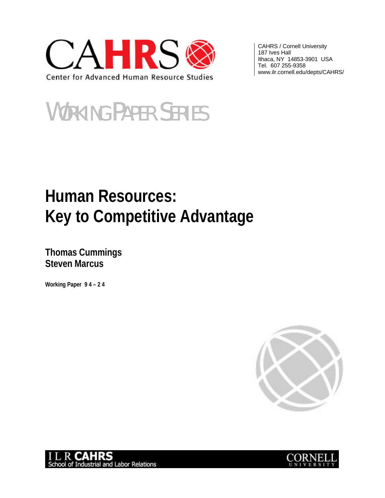

CAHRS / Cornell University 187 Ives Hall Ithaca, NY 14853-3901 USA Tel. 607 255-9358 www.ilr.cornell.edu/depts/CAHRS/

# WORKING PAPER SERIES

# **Human Resources: Key to Competitive Advantage**

**Thomas Cummings Steven Marcus**

**Working Paper 9 4 – 2 4**





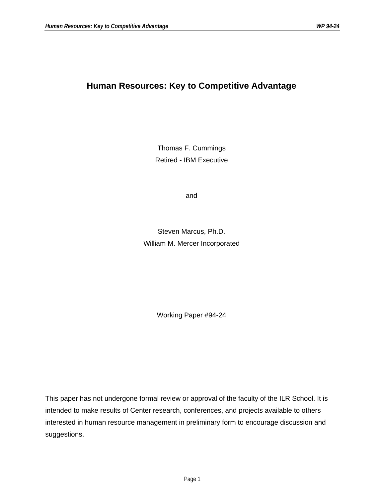### **Human Resources: Key to Competitive Advantage**

Thomas F. Cummings Retired - IBM Executive

and

Steven Marcus, Ph.D. William M. Mercer Incorporated

Working Paper #94-24

This paper has not undergone formal review or approval of the faculty of the ILR School. It is intended to make results of Center research, conferences, and projects available to others interested in human resource management in preliminary form to encourage discussion and suggestions.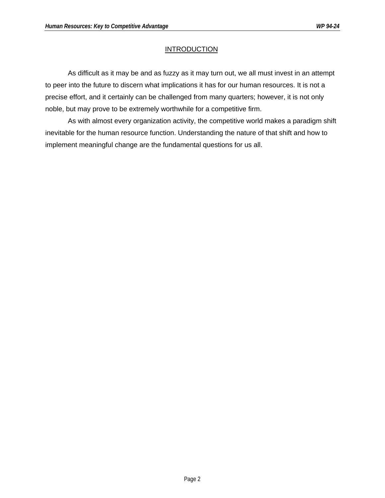#### **INTRODUCTION**

As difficult as it may be and as fuzzy as it may turn out, we all must invest in an attempt to peer into the future to discern what implications it has for our human resources. It is not a precise effort, and it certainly can be challenged from many quarters; however, it is not only noble, but may prove to be extremely worthwhile for a competitive firm.

As with almost every organization activity, the competitive world makes a paradigm shift inevitable for the human resource function. Understanding the nature of that shift and how to implement meaningful change are the fundamental questions for us all.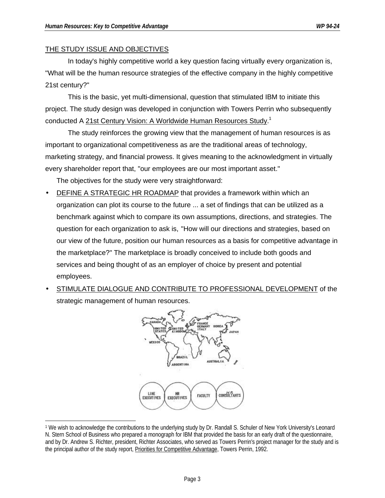#### THE STUDY ISSUE AND OBJECTIVES

In today's highly competitive world a key question facing virtually every organization is, "What will be the human resource strategies of the effective company in the highly competitive 21st century?"

This is the basic, yet multi-dimensional, question that stimulated IBM to initiate this project. The study design was developed in conjunction with Towers Perrin who subsequently conducted A 21st Century Vision: A Worldwide Human Resources Study.<sup>1</sup>

The study reinforces the growing view that the management of human resources is as important to organizational competitiveness as are the traditional areas of technology, marketing strategy, and financial prowess. It gives meaning to the acknowledgment in virtually every shareholder report that, "our employees are our most important asset."

The objectives for the study were very straightforward:

- DEFINE A STRATEGIC HR ROADMAP that provides a framework within which an organization can plot its course to the future ... a set of findings that can be utilized as a benchmark against which to compare its own assumptions, directions, and strategies. The question for each organization to ask is, "How will our directions and strategies, based on our view of the future, position our human resources as a basis for competitive advantage in the marketplace?" The marketplace is broadly conceived to include both goods and services and being thought of as an employer of choice by present and potential employees.
- STIMULATE DIALOGUE AND CONTRIBUTE TO PROFESSIONAL DEVELOPMENT of the strategic management of human resources.



 $\overline{a}$ 1 We wish to acknowledge the contributions to the underlying study by Dr. Randall S. Schuler of New York University's Leonard N. Stern School of Business who prepared a monograph for IBM that provided the basis for an early draft of the questionnaire, and by Dr. Andrew S. Richter, president, Richter Associates, who served as Towers Perrin's project manager for the study and is the principal author of the study report, Priorities for Competitive Advantage, Towers Perrin, 1992.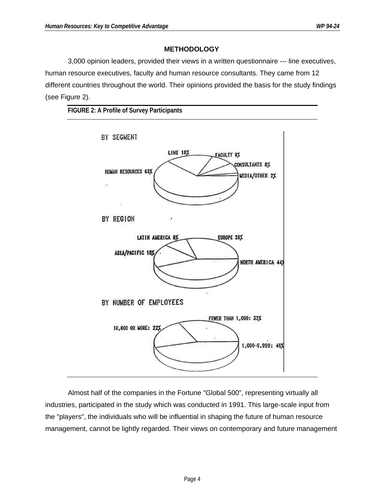#### **METHODOLOGY**

3,000 opinion leaders, provided their views in a written questionnaire --- line executives, human resource executives, faculty and human resource consultants. They came from 12 different countries throughout the world. Their opinions provided the basis for the study findings (see Figure 2).





Almost half of the companies in the Fortune "Global 500", representing virtually all industries, participated in the study which was conducted in 1991. This large-scale input from the "players", the individuals who will be influential in shaping the future of human resource management, cannot be lightly regarded. Their views on contemporary and future management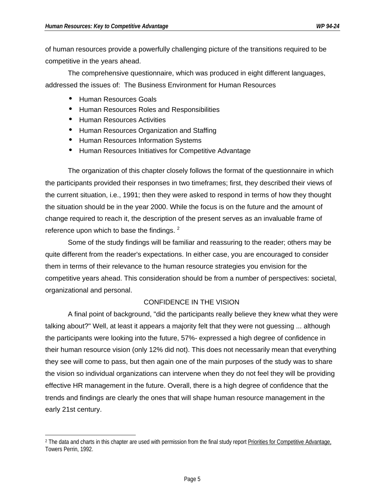of human resources provide a powerfully challenging picture of the transitions required to be competitive in the years ahead.

The comprehensive questionnaire, which was produced in eight different languages, addressed the issues of: The Business Environment for Human Resources

- Human Resources Goals
- Human Resources Roles and Responsibilities
- Human Resources Activities
- Human Resources Organization and Staffing
- Human Resources Information Systems
- Human Resources Initiatives for Competitive Advantage

The organization of this chapter closely follows the format of the questionnaire in which the participants provided their responses in two timeframes; first, they described their views of the current situation, i.e., 1991; then they were asked to respond in terms of how they thought the situation should be in the year 2000. While the focus is on the future and the amount of change required to reach it, the description of the present serves as an invaluable frame of reference upon which to base the findings.  $2^2$ 

Some of the study findings will be familiar and reassuring to the reader; others may be quite different from the reader's expectations. In either case, you are encouraged to consider them in terms of their relevance to the human resource strategies you envision for the competitive years ahead. This consideration should be from a number of perspectives: societal, organizational and personal.

#### CONFIDENCE IN THE VISION

A final point of background, "did the participants really believe they knew what they were talking about?" Well, at least it appears a majority felt that they were not guessing ... although the participants were looking into the future, 57%- expressed a high degree of confidence in their human resource vision (only 12% did not). This does not necessarily mean that everything they see will come to pass, but then again one of the main purposes of the study was to share the vision so individual organizations can intervene when they do not feel they will be providing effective HR management in the future. Overall, there is a high degree of confidence that the trends and findings are clearly the ones that will shape human resource management in the early 21st century.

 $\overline{a}$ <sup>2</sup> The data and charts in this chapter are used with permission from the final study report Priorities for Competitive Advantage, Towers Perrin, 1992.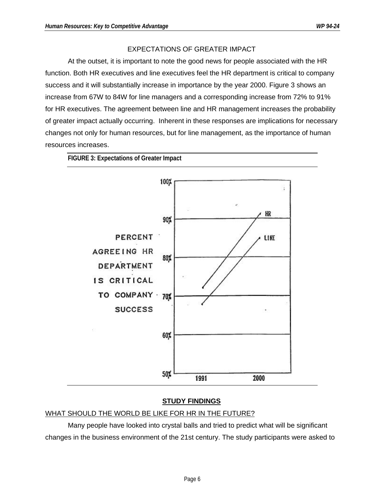#### EXPECTATIONS OF GREATER IMPACT

At the outset, it is important to note the good news for people associated with the HR function. Both HR executives and line executives feel the HR department is critical to company success and it will substantially increase in importance by the year 2000. Figure 3 shows an increase from 67W to 84W for line managers and a corresponding increase from 72% to 91% for HR executives. The agreement between line and HR management increases the probability of greater impact actually occurring. Inherent in these responses are implications for necessary changes not only for human resources, but for line management, as the importance of human resources increases.



#### **STUDY FINDINGS**

#### WHAT SHOULD THE WORLD BE LIKE FOR HR IN THE FUTURE?

Many people have looked into crystal balls and tried to predict what will be significant changes in the business environment of the 21st century. The study participants were asked to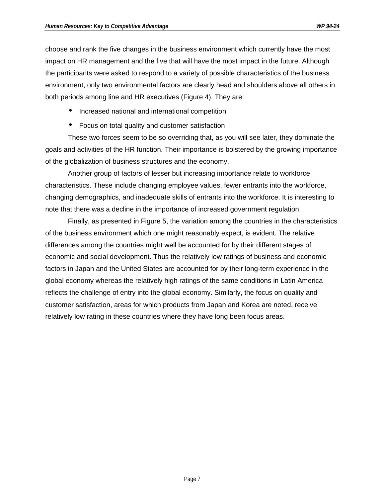choose and rank the five changes in the business environment which currently have the most impact on HR management and the five that will have the most impact in the future. Although the participants were asked to respond to a variety of possible characteristics of the business environment, only two environmental factors are clearly head and shoulders above all others in both periods among line and HR executives (Figure 4). They are:

- Increased national and international competition
- Focus on total quality and customer satisfaction

These two forces seem to be so overriding that, as you will see later, they dominate the goals and activities of the HR function. Their importance is bolstered by the growing importance of the globalization of business structures and the economy.

Another group of factors of lesser but increasing importance relate to workforce characteristics. These include changing employee values, fewer entrants into the workforce, changing demographics, and inadequate skills of entrants into the workforce. It is interesting to note that there was a decline in the importance of increased government regulation.

Finally, as presented in Figure 5, the variation among the countries in the characteristics of the business environment which one might reasonably expect, is evident. The relative differences among the countries might well be accounted for by their different stages of economic and social development. Thus the relatively low ratings of business and economic factors in Japan and the United States are accounted for by their long-term experience in the global economy whereas the relatively high ratings of the same conditions in Latin America reflects the challenge of entry into the global economy. Similarly, the focus on quality and customer satisfaction, areas for which products from Japan and Korea are noted, receive relatively low rating in these countries where they have long been focus areas.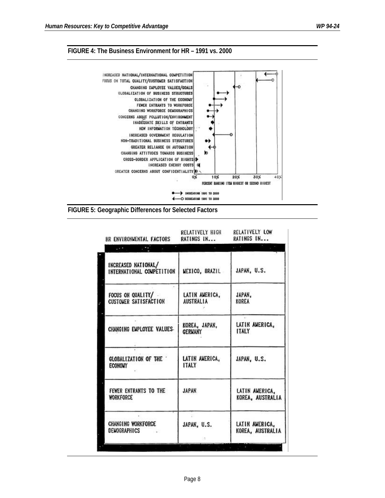#### **FIGURE 4: The Business Environment for HR – 1991 vs. 2000**



**FIGURE 5: Geographic Differences for Selected Factors**

| RELATIVELY HIGH<br>HR ENVIRONMENTAL FACTORS<br>RATINGS IN | RELATIVELY LOW<br>RATINGS IN       |  |  |  |
|-----------------------------------------------------------|------------------------------------|--|--|--|
|                                                           | $-100$                             |  |  |  |
| <b>MEXICO, BRAZIL</b><br>INTERNATIONAL COMPETITION        | JAPAN, U.S.                        |  |  |  |
| LATIN AMERICA,<br><b>AUSTRALIA</b>                        | JAPAN,<br>KOREA                    |  |  |  |
| KOREA, JAPAN,<br><b>GERMANY</b>                           | LATIN AMERICA,<br><b>ITALY</b>     |  |  |  |
| LATIN AMERICA,<br><b>ITALY</b>                            | JAPAN, U.S.                        |  |  |  |
| <b>JAPAN</b>                                              | LATIN AMERICA,<br>KOREA, AUSTRALIA |  |  |  |
| JAPAN, U.S.<br>98                                         | LATIN AMERICA,<br>KOREA, AUSTRALIA |  |  |  |
|                                                           |                                    |  |  |  |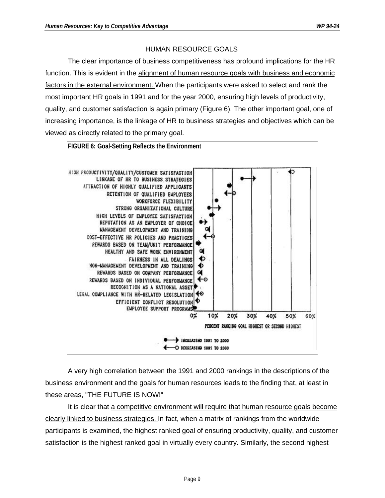#### HUMAN RESOURCE GOALS

The clear importance of business competitiveness has profound implications for the HR function. This is evident in the alignment of human resource goals with business and economic factors in the external environment. When the participants were asked to select and rank the most important HR goals in 1991 and for the year 2000, ensuring high levels of productivity, quality, and customer satisfaction is again primary (Figure 6). The other important goal, one of increasing importance, is the linkage of HR to business strategies and objectives which can be viewed as directly related to the primary goal.



**FIGURE 6: Goal-Setting Reflects the Environment**

A very high correlation between the 1991 and 2000 rankings in the descriptions of the business environment and the goals for human resources leads to the finding that, at least in these areas, "THE FUTURE IS NOW!"

It is clear that a competitive environment will require that human resource goals become clearly linked to business strategies. In fact, when a matrix of rankings from the worldwide participants is examined, the highest ranked goal of ensuring productivity, quality, and customer satisfaction is the highest ranked goal in virtually every country. Similarly, the second highest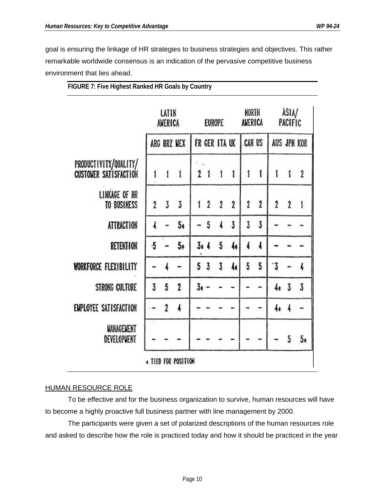goal is ensuring the linkage of HR strategies to business strategies and objectives. This rather remarkable worldwide consensus is an indication of the pervasive competitive business environment that lies ahead.

|           |              | $\mathbf{1}$   |                                 |   | $\mathbf{1}$                                      | $\mathbf{1}$  | í             | 1            | 1                                 | 1              | $\mathbf{2}$                                 |
|-----------|--------------|----------------|---------------------------------|---|---------------------------------------------------|---------------|---------------|--------------|-----------------------------------|----------------|----------------------------------------------|
| 2         | 3            | $\overline{3}$ |                                 |   | $\mathbf{2}$                                      | $\mathbf{2}$  | $\mathbf{2}$  | $\mathbf{2}$ | $\overline{\mathbf{2}}$           | $\mathbf{2}$   | 1                                            |
|           |              | 5 <sub>t</sub> |                                 | 5 |                                                   | 3             | 3             | 3            |                                   |                |                                              |
| $\cdot 5$ |              | 5 <sub>t</sub> |                                 |   | 5                                                 | 4             | ı             | 4            |                                   |                |                                              |
|           |              |                |                                 |   | 3                                                 | 4             | 5             | 5            | ٠3                                |                |                                              |
| 3         | 5            | $\mathbf 2$    | 3.                              |   |                                                   |               |               |              |                                   | $\overline{3}$ | 3                                            |
|           | $\mathbf{2}$ | 4              |                                 |   |                                                   |               |               |              | 4ŧ                                |                |                                              |
|           |              |                |                                 |   |                                                   |               |               |              |                                   | 5              | 5ŧ                                           |
|           |              |                | LATIN<br>AMERICA<br>ARG BRZ MEX |   | 2 <sub>1</sub><br>12<br>$3 + 4$<br>5 <sub>3</sub> | <b>EUROPE</b> | FR GER ITA UK |              | NORTH<br>AMERICA<br><b>CAN US</b> |                | àsia/<br>PACIFIC<br><b>AUS JPN KOR</b><br>4ŧ |

**FIGURE 7: Five Highest Ranked HR Goals by Country**

#### HUMAN RESOURCE ROLE

To be effective and for the business organization to survive, human resources will have to become a highly proactive full business partner with line management by 2000.

The participants were given a set of polarized descriptions of the human resources role and asked to describe how the role is practiced today and how it should be practiced in the year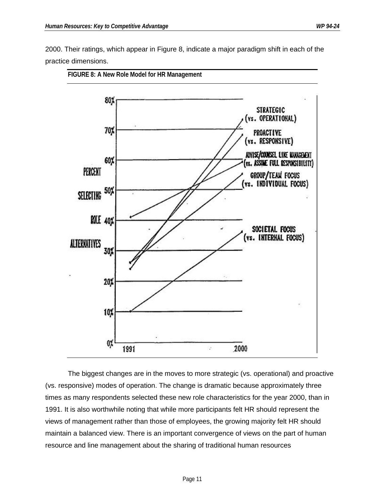2000. Their ratings, which appear in Figure 8, indicate a major paradigm shift in each of the practice dimensions.



**FIGURE 8: A New Role Model for HR Management**

The biggest changes are in the moves to more strategic (vs. operational) and proactive (vs. responsive) modes of operation. The change is dramatic because approximately three times as many respondents selected these new role characteristics for the year 2000, than in 1991. It is also worthwhile noting that while more participants felt HR should represent the views of management rather than those of employees, the growing majority felt HR should maintain a balanced view. There is an important convergence of views on the part of human resource and line management about the sharing of traditional human resources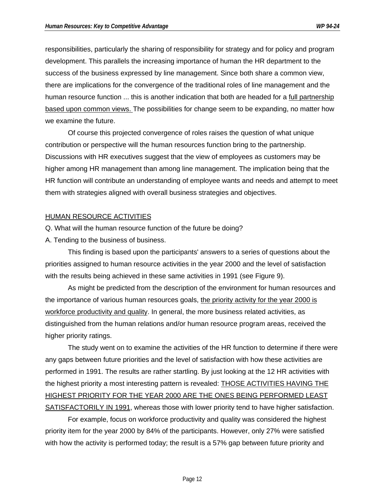responsibilities, particularly the sharing of responsibility for strategy and for policy and program development. This parallels the increasing importance of human the HR department to the success of the business expressed by line management. Since both share a common view, there are implications for the convergence of the traditional roles of line management and the human resource function ... this is another indication that both are headed for a full partnership based upon common views. The possibilities for change seem to be expanding, no matter how we examine the future.

Of course this projected convergence of roles raises the question of what unique contribution or perspective will the human resources function bring to the partnership. Discussions with HR executives suggest that the view of employees as customers may be higher among HR management than among line management. The implication being that the HR function will contribute an understanding of employee wants and needs and attempt to meet them with strategies aligned with overall business strategies and objectives.

#### HUMAN RESOURCE ACTIVITIES

Q. What will the human resource function of the future be doing?

A. Tending to the business of business.

This finding is based upon the participants' answers to a series of questions about the priorities assigned to human resource activities in the year 2000 and the level of satisfaction with the results being achieved in these same activities in 1991 (see Figure 9).

As might be predicted from the description of the environment for human resources and the importance of various human resources goals, the priority activity for the year 2000 is workforce productivity and quality. In general, the more business related activities, as distinguished from the human relations and/or human resource program areas, received the higher priority ratings.

The study went on to examine the activities of the HR function to determine if there were any gaps between future priorities and the level of satisfaction with how these activities are performed in 1991. The results are rather startling. By just looking at the 12 HR activities with the highest priority a most interesting pattern is revealed: THOSE ACTIVITIES HAVING THE HIGHEST PRIORITY FOR THE YEAR 2000 ARE THE ONES BEING PERFORMED LEAST SATISFACTORILY IN 1991, whereas those with lower priority tend to have higher satisfaction.

For example, focus on workforce productivity and quality was considered the highest priority item for the year 2000 by 84% of the participants. However, only 27% were satisfied with how the activity is performed today; the result is a 57% gap between future priority and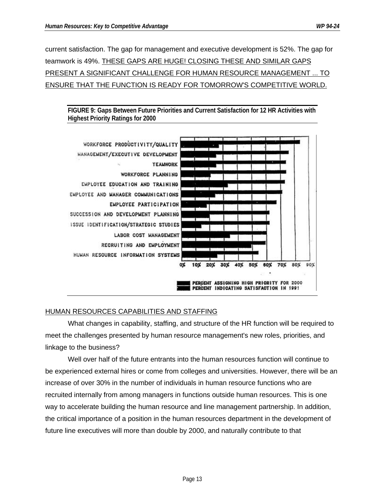current satisfaction. The gap for management and executive development is 52%. The gap for teamwork is 49%. THESE GAPS ARE HUGE! CLOSING THESE AND SIMILAR GAPS PRESENT A SIGNIFICANT CHALLENGE FOR HUMAN RESOURCE MANAGEMENT ... TO ENSURE THAT THE FUNCTION IS READY FOR TOMORROW'S COMPETITIVE WORLD.

**FIGURE 9: Gaps Between Future Priorities and Current Satisfaction for 12 HR Activities with Highest Priority Ratings for 2000**



#### HUMAN RESOURCES CAPABILITIES AND STAFFING

What changes in capability, staffing, and structure of the HR function will be required to meet the challenges presented by human resource management's new roles, priorities, and linkage to the business?

Well over half of the future entrants into the human resources function will continue to be experienced external hires or come from colleges and universities. However, there will be an increase of over 30% in the number of individuals in human resource functions who are recruited internally from among managers in functions outside human resources. This is one way to accelerate building the human resource and line management partnership. In addition, the critical importance of a position in the human resources department in the development of future line executives will more than double by 2000, and naturally contribute to that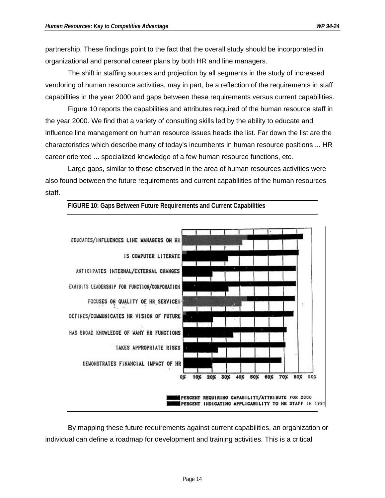partnership. These findings point to the fact that the overall study should be incorporated in organizational and personal career plans by both HR and line managers.

The shift in staffing sources and projection by all segments in the study of increased vendoring of human resource activities, may in part, be a reflection of the requirements in staff capabilities in the year 2000 and gaps between these requirements versus current capabilities.

Figure 10 reports the capabilities and attributes required of the human resource staff in the year 2000. We find that a variety of consulting skills led by the ability to educate and influence line management on human resource issues heads the list. Far down the list are the characteristics which describe many of today's incumbents in human resource positions ... HR career oriented ... specialized knowledge of a few human resource functions, etc.

Large gaps, similar to those observed in the area of human resources activities were also found between the future requirements and current capabilities of the human resources staff.



**FIGURE 10: Gaps Between Future Requirements and Current Capabilities**

By mapping these future requirements against current capabilities, an organization or individual can define a roadmap for development and training activities. This is a critical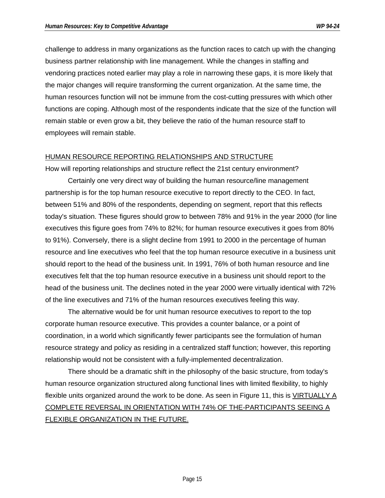challenge to address in many organizations as the function races to catch up with the changing business partner relationship with line management. While the changes in staffing and vendoring practices noted earlier may play a role in narrowing these gaps, it is more likely that the major changes will require transforming the current organization. At the same time, the human resources function will not be immune from the cost-cutting pressures with which other functions are coping. Although most of the respondents indicate that the size of the function will remain stable or even grow a bit, they believe the ratio of the human resource staff to employees will remain stable.

#### HUMAN RESOURCE REPORTING RELATIONSHIPS AND STRUCTURE

How will reporting relationships and structure reflect the 21st century environment?

Certainly one very direct way of building the human resource/line management partnership is for the top human resource executive to report directly to the CEO. In fact, between 51% and 80% of the respondents, depending on segment, report that this reflects today's situation. These figures should grow to between 78% and 91% in the year 2000 (for line executives this figure goes from 74% to 82%; for human resource executives it goes from 80% to 91%). Conversely, there is a slight decline from 1991 to 2000 in the percentage of human resource and line executives who feel that the top human resource executive in a business unit should report to the head of the business unit. In 1991, 76% of both human resource and line executives felt that the top human resource executive in a business unit should report to the head of the business unit. The declines noted in the year 2000 were virtually identical with 72% of the line executives and 71% of the human resources executives feeling this way.

The alternative would be for unit human resource executives to report to the top corporate human resource executive. This provides a counter balance, or a point of coordination, in a world which significantly fewer participants see the formulation of human resource strategy and policy as residing in a centralized staff function; however, this reporting relationship would not be consistent with a fully-implemented decentralization.

There should be a dramatic shift in the philosophy of the basic structure, from today's human resource organization structured along functional lines with limited flexibility, to highly flexible units organized around the work to be done. As seen in Figure 11, this is VIRTUALLY A COMPLETE REVERSAL IN ORIENTATION WITH 74% OF THE-PARTICIPANTS SEEING A FLEXIBLE ORGANIZATION IN THE FUTURE.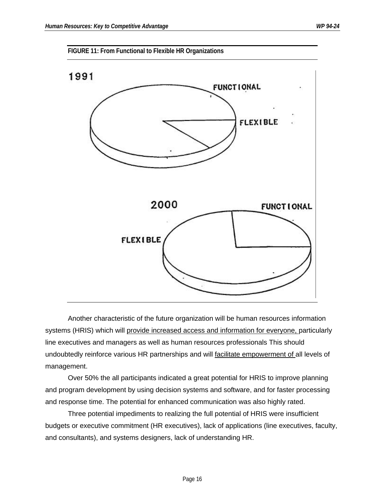



Another characteristic of the future organization will be human resources information systems (HRIS) which will provide increased access and information for everyone, particularly line executives and managers as well as human resources professionals This should undoubtedly reinforce various HR partnerships and will facilitate empowerment of all levels of management.

Over 50% the all participants indicated a great potential for HRIS to improve planning and program development by using decision systems and software, and for faster processing and response time. The potential for enhanced communication was also highly rated.

Three potential impediments to realizing the full potential of HRIS were insufficient budgets or executive commitment (HR executives), lack of applications (line executives, faculty, and consultants), and systems designers, lack of understanding HR.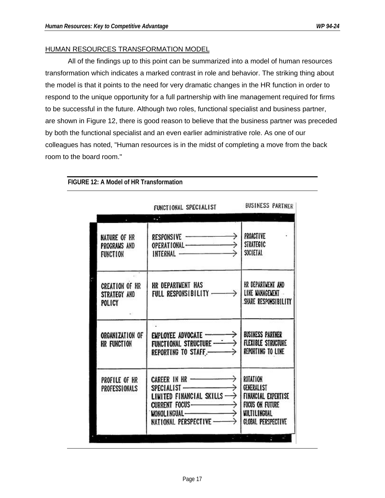#### HUMAN RESOURCES TRANSFORMATION MODEL

All of the findings up to this point can be summarized into a model of human resources transformation which indicates a marked contrast in role and behavior. The striking thing about the model is that it points to the need for very dramatic changes in the HR function in order to respond to the unique opportunity for a full partnership with line management required for firms to be successful in the future. Although two roles, functional specialist and business partner, are shown in Figure 12, there is good reason to believe that the business partner was preceded by both the functional specialist and an even earlier administrative role. As one of our colleagues has noted, "Human resources is in the midst of completing a move from the back room to the board room."

|                                                        | FUNCTIONAL SPECIALIST BUSINESS PARTNER                                                                                                       |                                                             |
|--------------------------------------------------------|----------------------------------------------------------------------------------------------------------------------------------------------|-------------------------------------------------------------|
|                                                        |                                                                                                                                              |                                                             |
| <b>NATURE OF HR</b><br>PROGRAMS AND<br><b>FUNCTION</b> | INTERNAL <u>__________</u>   SOCIETAL                                                                                                        |                                                             |
| <b>CREATION OF HR</b><br>STRATEGY AND<br>POLICY        |                                                                                                                                              | SHARE RESPONSIBILITY                                        |
| ORGANIZATION OF<br>HR FUNCTION                         | EMPLOYEE ADVOCATE —————><br>FUNCTIONAL STRUCTURE ———><br>$\rightarrow$                                                                       | BUSINESS PARTNER<br>FLEXIBLE STRUCTURE<br>REPORTING TO LINE |
| PROFILE OF HR<br>PROFESSIONALS                         | CAREER IN HR ————————><br>SPECIALIST ————————><br>LIMITED FINANCIAL SKILLS $\longrightarrow$ FINANCIAL EXPERTISE<br>NATIONAL PERSPECTIVE ——> | ROTATION<br>GENERALIST<br>GLOBAL PERSPECTIVE                |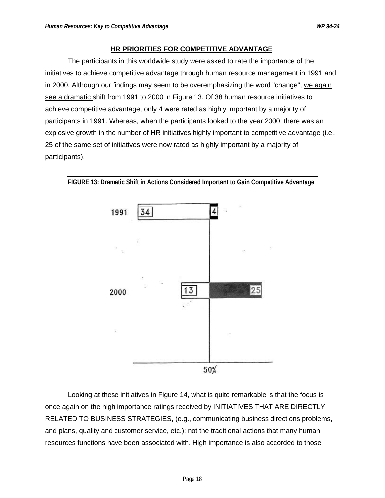#### **HR PRIORITIES FOR COMPETITIVE ADVANTAGE**

The participants in this worldwide study were asked to rate the importance of the initiatives to achieve competitive advantage through human resource management in 1991 and in 2000. Although our findings may seem to be overemphasizing the word "change", we again see a dramatic shift from 1991 to 2000 in Figure 13. Of 38 human resource initiatives to achieve competitive advantage, only 4 were rated as highly important by a majority of participants in 1991. Whereas, when the participants looked to the year 2000, there was an explosive growth in the number of HR initiatives highly important to competitive advantage (i.e., 25 of the same set of initiatives were now rated as highly important by a majority of participants).



**FIGURE 13: Dramatic Shift in Actions Considered Important to Gain Competitive Advantage**

Looking at these initiatives in Figure 14, what is quite remarkable is that the focus is once again on the high importance ratings received by INITIATIVES THAT ARE DIRECTLY RELATED TO BUSINESS STRATEGIES, (e.g., communicating business directions problems, and plans, quality and customer service, etc.); not the traditional actions that many human resources functions have been associated with. High importance is also accorded to those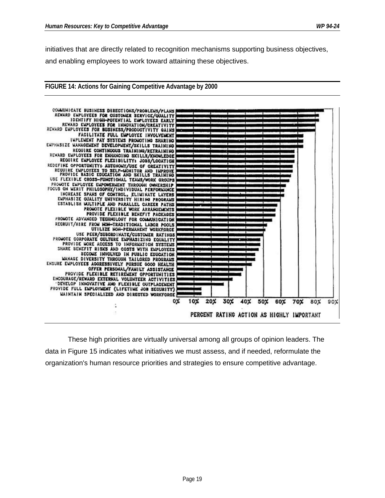**FIGURE 14: Actions for Gaining Competitive Advantage by 2000**

initiatives that are directly related to recognition mechanisms supporting business objectives, and enabling employees to work toward attaining these objectives.



These high priorities are virtually universal among all groups of opinion leaders. The data in Figure 15 indicates what initiatives we must assess, and if needed, reformulate the organization's human resource priorities and strategies to ensure competitive advantage.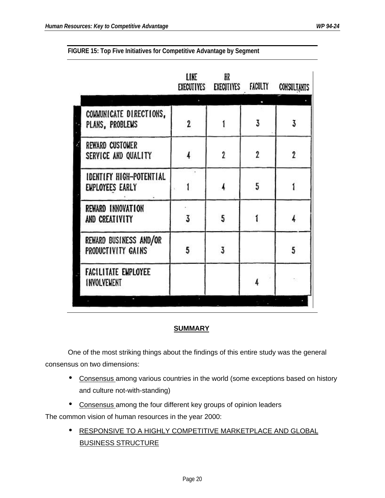|                                                   | LINE | HR<br>EXECUTIVES EXECUTIVES FACULTY |   | <b>CONSULTANTS</b> |
|---------------------------------------------------|------|-------------------------------------|---|--------------------|
|                                                   |      |                                     |   |                    |
| COMMUNICATE DIRECTIONS,<br>PLANS, PROBLEMS        | 2    |                                     | 3 | 3                  |
| <b>REWARD CUSTOMER</b><br>SERVICE AND QUALITY     |      | $\overline{2}$                      | 2 | 2                  |
| <b>IDENTIFY HIGH-POTENTIAL</b><br>EMPLOYEES EARLY |      |                                     | 5 |                    |
| REWARD INNOVATION<br>AND CREATIVITY               | 3    | 5                                   |   |                    |
| REWARD BUSINESS AND/OR<br>PRODUCTIVITY GAINS      | 5    | 3                                   |   | 5                  |
| <b>FACILITATE EMPLOYEE</b><br>INVOLVEMENT         |      |                                     |   |                    |
|                                                   |      |                                     |   |                    |

**FIGURE 15: Top Five Initiatives for Competitive Advantage by Segment**

#### **SUMMARY**

One of the most striking things about the findings of this entire study was the general consensus on two dimensions:

- Consensus among various countries in the world (some exceptions based on history and culture not-with-standing)
- Consensus among the four different key groups of opinion leaders

The common vision of human resources in the year 2000:

**• RESPONSIVE TO A HIGHLY COMPETITIVE MARKETPLACE AND GLOBAL** BUSINESS STRUCTURE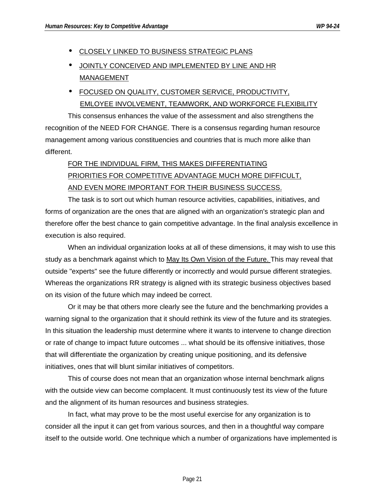**• CLOSELY LINKED TO BUSINESS STRATEGIC PLANS** 

## • JOINTLY CONCEIVED AND IMPLEMENTED BY LINE AND HR MANAGEMENT

• FOCUSED ON QUALITY, CUSTOMER SERVICE, PRODUCTIVITY, EMLOYEE INVOLVEMENT, TEAMWORK, AND WORKFORCE FLEXIBILITY

This consensus enhances the value of the assessment and also strengthens the recognition of the NEED FOR CHANGE. There is a consensus regarding human resource management among various constituencies and countries that is much more alike than different.

# FOR THE INDIVIDUAL FIRM, THIS MAKES DIFFERENTIATING PRIORITIES FOR COMPETITIVE ADVANTAGE MUCH MORE DIFFICULT, AND EVEN MORE IMPORTANT FOR THEIR BUSINESS SUCCESS.

The task is to sort out which human resource activities, capabilities, initiatives, and forms of organization are the ones that are aligned with an organization's strategic plan and therefore offer the best chance to gain competitive advantage. In the final analysis excellence in execution is also required.

When an individual organization looks at all of these dimensions, it may wish to use this study as a benchmark against which to May Its Own Vision of the Future. This may reveal that outside "experts" see the future differently or incorrectly and would pursue different strategies. Whereas the organizations RR strategy is aligned with its strategic business objectives based on its vision of the future which may indeed be correct.

Or it may be that others more clearly see the future and the benchmarking provides a warning signal to the organization that it should rethink its view of the future and its strategies. In this situation the leadership must determine where it wants to intervene to change direction or rate of change to impact future outcomes ... what should be its offensive initiatives, those that will differentiate the organization by creating unique positioning, and its defensive initiatives, ones that will blunt similar initiatives of competitors.

This of course does not mean that an organization whose internal benchmark aligns with the outside view can become complacent. It must continuously test its view of the future and the alignment of its human resources and business strategies.

In fact, what may prove to be the most useful exercise for any organization is to consider all the input it can get from various sources, and then in a thoughtful way compare itself to the outside world. One technique which a number of organizations have implemented is